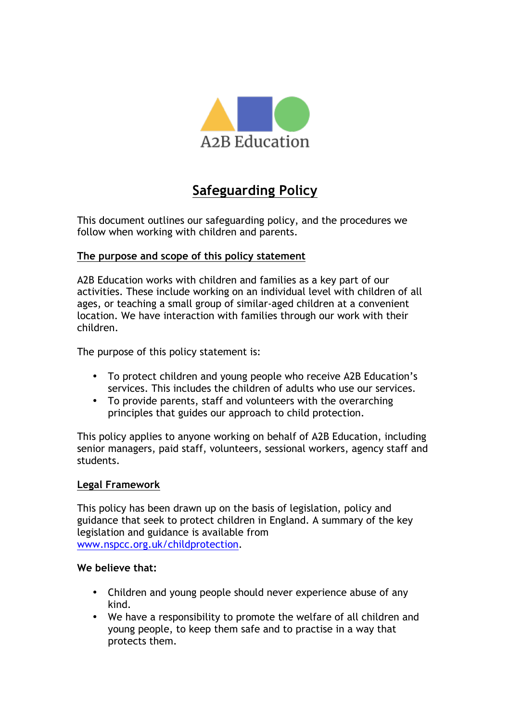

# **Safeguarding Policy**

This document outlines our safeguarding policy, and the procedures we follow when working with children and parents.

## **The purpose and scope of this policy statement**

A2B Education works with children and families as a key part of our activities. These include working on an individual level with children of all ages, or teaching a small group of similar-aged children at a convenient location. We have interaction with families through our work with their children.

The purpose of this policy statement is:

- To protect children and young people who receive A2B Education's services. This includes the children of adults who use our services.
- To provide parents, staff and volunteers with the overarching principles that guides our approach to child protection.

This policy applies to anyone working on behalf of A2B Education, including senior managers, paid staff, volunteers, sessional workers, agency staff and students.

#### **Legal Framework**

This policy has been drawn up on the basis of legislation, policy and guidance that seek to protect children in England. A summary of the key legislation and guidance is available from www.nspcc.org.uk/childprotection.

#### **We believe that:**

- Children and young people should never experience abuse of any kind.
- We have a responsibility to promote the welfare of all children and young people, to keep them safe and to practise in a way that protects them.